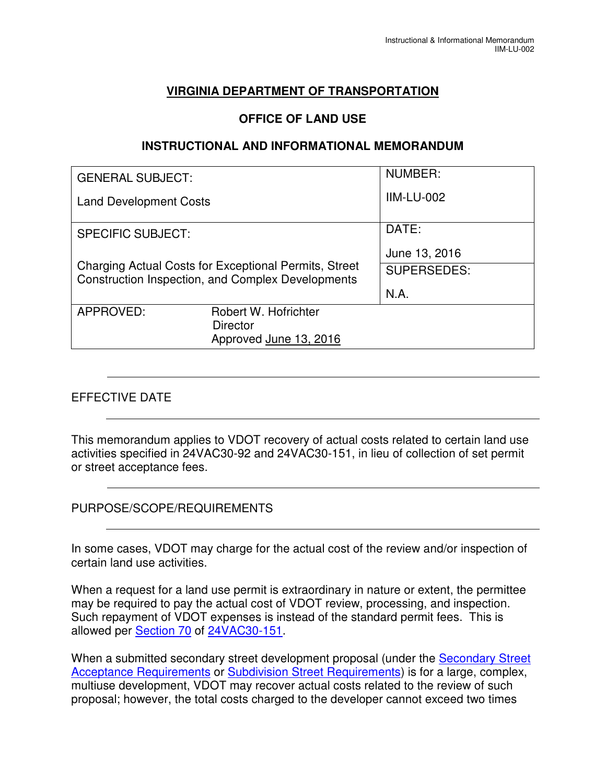# **VIRGINIA DEPARTMENT OF TRANSPORTATION**

## **OFFICE OF LAND USE**

### **INSTRUCTIONAL AND INFORMATIONAL MEMORANDUM**

| <b>GENERAL SUBJECT:</b>                                                                                    |                        | NUMBER:            |
|------------------------------------------------------------------------------------------------------------|------------------------|--------------------|
| <b>Land Development Costs</b>                                                                              |                        | <b>IIM-LU-002</b>  |
| <b>SPECIFIC SUBJECT:</b>                                                                                   |                        | DATE:              |
|                                                                                                            |                        | June 13, 2016      |
| Charging Actual Costs for Exceptional Permits, Street<br>Construction Inspection, and Complex Developments |                        | <b>SUPERSEDES:</b> |
|                                                                                                            |                        | N.A.               |
| APPROVED:                                                                                                  | Robert W. Hofrichter   |                    |
|                                                                                                            | <b>Director</b>        |                    |
|                                                                                                            | Approved June 13, 2016 |                    |

## EFFECTIVE DATE

This memorandum applies to VDOT recovery of actual costs related to certain land use activities specified in 24VAC30-92 and 24VAC30-151, in lieu of collection of set permit or street acceptance fees.

## PURPOSE/SCOPE/REQUIREMENTS

In some cases, VDOT may charge for the actual cost of the review and/or inspection of certain land use activities.

When a request for a land use permit is extraordinary in nature or extent, the permittee may be required to pay the actual cost of VDOT review, processing, and inspection. Such repayment of VDOT expenses is instead of the standard permit fees. This is allowed per Section 70 of 24VAC30-151.

When a submitted secondary street development proposal (under the **Secondary Street** Acceptance Requirements or Subdivision Street Requirements) is for a large, complex, multiuse development, VDOT may recover actual costs related to the review of such proposal; however, the total costs charged to the developer cannot exceed two times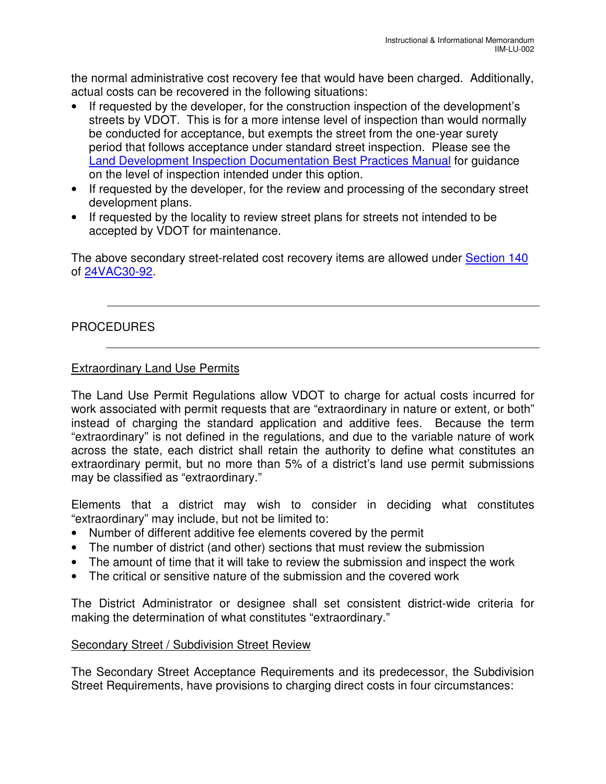the normal administrative cost recovery fee that would have been charged. Additionally, actual costs can be recovered in the following situations:

- If requested by the developer, for the construction inspection of the development's streets by VDOT. This is for a more intense level of inspection than would normally be conducted for acceptance, but exempts the street from the one-year surety period that follows acceptance under standard street inspection. Please see the Land Development Inspection Documentation Best Practices Manual for guidance on the level of inspection intended under this option.
- If requested by the developer, for the review and processing of the secondary street development plans.
- If requested by the locality to review street plans for streets not intended to be accepted by VDOT for maintenance.

The above secondary street-related cost recovery items are allowed under Section 140 of 24VAC30-92.

## PROCEDURES

## Extraordinary Land Use Permits

The Land Use Permit Regulations allow VDOT to charge for actual costs incurred for work associated with permit requests that are "extraordinary in nature or extent, or both" instead of charging the standard application and additive fees. Because the term "extraordinary" is not defined in the regulations, and due to the variable nature of work across the state, each district shall retain the authority to define what constitutes an extraordinary permit, but no more than 5% of a district's land use permit submissions may be classified as "extraordinary."

Elements that a district may wish to consider in deciding what constitutes "extraordinary" may include, but not be limited to:

- Number of different additive fee elements covered by the permit
- The number of district (and other) sections that must review the submission
- The amount of time that it will take to review the submission and inspect the work
- The critical or sensitive nature of the submission and the covered work

The District Administrator or designee shall set consistent district-wide criteria for making the determination of what constitutes "extraordinary."

### Secondary Street / Subdivision Street Review

The Secondary Street Acceptance Requirements and its predecessor, the Subdivision Street Requirements, have provisions to charging direct costs in four circumstances: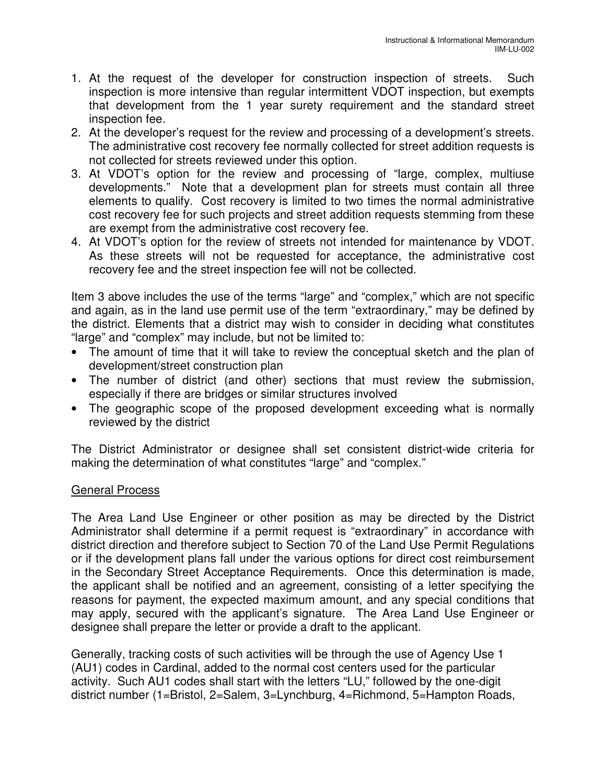- 1. At the request of the developer for construction inspection of streets. Such inspection is more intensive than regular intermittent VDOT inspection, but exempts that development from the 1 year surety requirement and the standard street inspection fee.
- 2. At the developer's request for the review and processing of a development's streets. The administrative cost recovery fee normally collected for street addition requests is not collected for streets reviewed under this option.
- 3. At VDOT's option for the review and processing of "large, complex, multiuse developments." Note that a development plan for streets must contain all three elements to qualify. Cost recovery is limited to two times the normal administrative cost recovery fee for such projects and street addition requests stemming from these are exempt from the administrative cost recovery fee.
- 4. At VDOT's option for the review of streets not intended for maintenance by VDOT. As these streets will not be requested for acceptance, the administrative cost recovery fee and the street inspection fee will not be collected.

Item 3 above includes the use of the terms "large" and "complex," which are not specific and again, as in the land use permit use of the term "extraordinary," may be defined by the district. Elements that a district may wish to consider in deciding what constitutes "large" and "complex" may include, but not be limited to:

- The amount of time that it will take to review the conceptual sketch and the plan of development/street construction plan
- The number of district (and other) sections that must review the submission, especially if there are bridges or similar structures involved
- The geographic scope of the proposed development exceeding what is normally reviewed by the district

The District Administrator or designee shall set consistent district-wide criteria for making the determination of what constitutes "large" and "complex."

## General Process

The Area Land Use Engineer or other position as may be directed by the District Administrator shall determine if a permit request is "extraordinary" in accordance with district direction and therefore subject to Section 70 of the Land Use Permit Regulations or if the development plans fall under the various options for direct cost reimbursement in the Secondary Street Acceptance Requirements. Once this determination is made, the applicant shall be notified and an agreement, consisting of a letter specifying the reasons for payment, the expected maximum amount, and any special conditions that may apply, secured with the applicant's signature. The Area Land Use Engineer or designee shall prepare the letter or provide a draft to the applicant.

Generally, tracking costs of such activities will be through the use of Agency Use 1 (AU1) codes in Cardinal, added to the normal cost centers used for the particular activity. Such AU1 codes shall start with the letters "LU," followed by the one-digit district number (1=Bristol, 2=Salem, 3=Lynchburg, 4=Richmond, 5=Hampton Roads,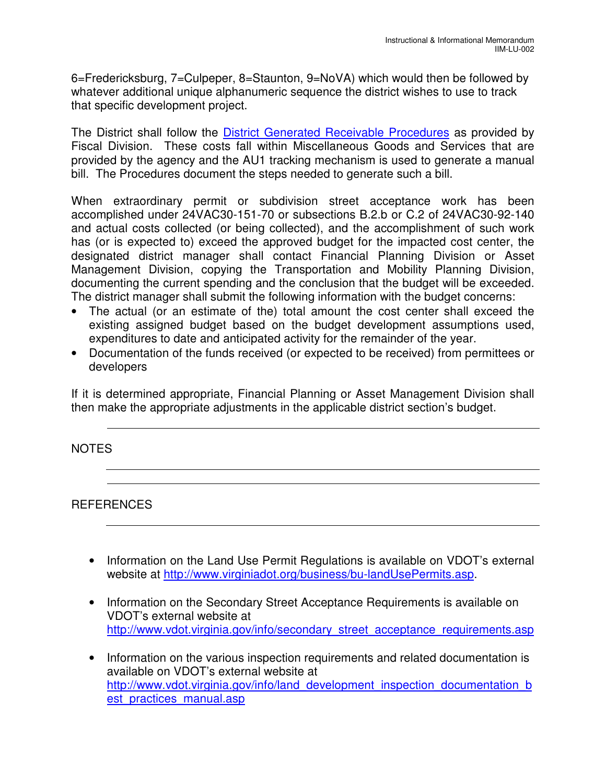6=Fredericksburg, 7=Culpeper, 8=Staunton, 9=NoVA) which would then be followed by whatever additional unique alphanumeric sequence the district wishes to use to track that specific development project.

The District shall follow the District Generated Receivable Procedures as provided by Fiscal Division. These costs fall within Miscellaneous Goods and Services that are provided by the agency and the AU1 tracking mechanism is used to generate a manual bill. The Procedures document the steps needed to generate such a bill.

When extraordinary permit or subdivision street acceptance work has been accomplished under 24VAC30-151-70 or subsections B.2.b or C.2 of 24VAC30-92-140 and actual costs collected (or being collected), and the accomplishment of such work has (or is expected to) exceed the approved budget for the impacted cost center, the designated district manager shall contact Financial Planning Division or Asset Management Division, copying the Transportation and Mobility Planning Division, documenting the current spending and the conclusion that the budget will be exceeded. The district manager shall submit the following information with the budget concerns:

- The actual (or an estimate of the) total amount the cost center shall exceed the existing assigned budget based on the budget development assumptions used, expenditures to date and anticipated activity for the remainder of the year.
- Documentation of the funds received (or expected to be received) from permittees or developers

If it is determined appropriate, Financial Planning or Asset Management Division shall then make the appropriate adjustments in the applicable district section's budget.

### NOTES

REFERENCES

- Information on the Land Use Permit Regulations is available on VDOT's external website at http://www.virginiadot.org/business/bu-landUsePermits.asp.
- Information on the Secondary Street Acceptance Requirements is available on VDOT's external website at http://www.vdot.virginia.gov/info/secondary\_street\_acceptance\_requirements.asp
- Information on the various inspection requirements and related documentation is available on VDOT's external website at http://www.vdot.virginia.gov/info/land development inspection documentation b est practices manual.asp